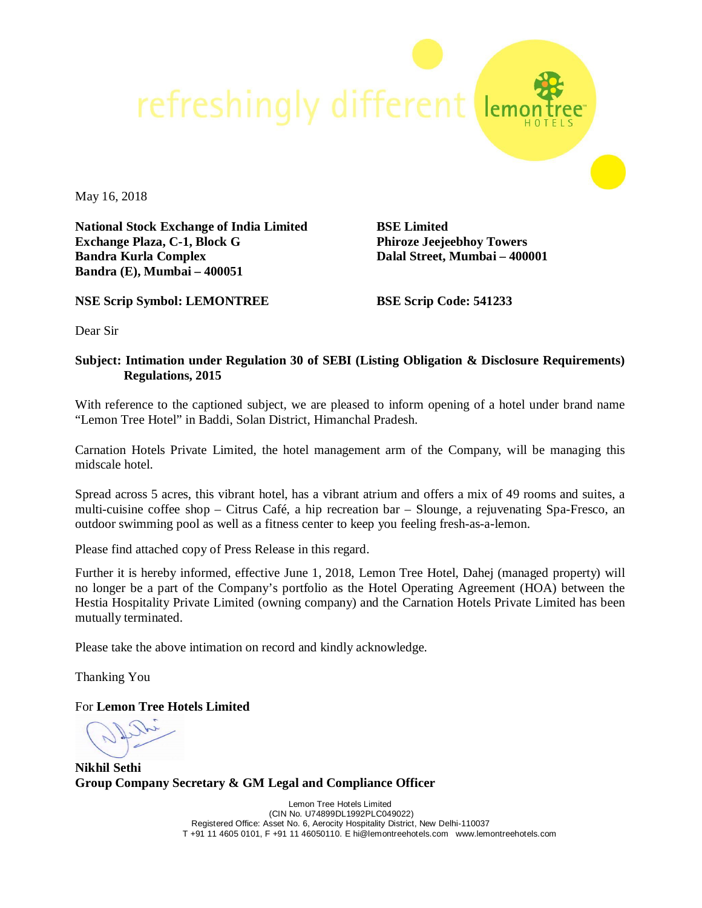refreshingly different

May 16, 2018

**National Stock Exchange of India Limited Exchange Plaza, C-1, Block G Bandra Kurla Complex Bandra (E), Mumbai – 400051**

**NSE Scrip Symbol: LEMONTREE**

**BSE Limited Phiroze Jeejeebhoy Towers Dalal Street, Mumbai – 400001**

**BSE Scrip Code: 541233**

Dear Sir

## **Subject: Intimation under Regulation 30 of SEBI (Listing Obligation & Disclosure Requirements) Regulations, 2015**

With reference to the captioned subject, we are pleased to inform opening of a hotel under brand name "Lemon Tree Hotel" in Baddi, Solan District, Himanchal Pradesh.

Carnation Hotels Private Limited, the hotel management arm of the Company, will be managing this midscale hotel.

Spread across 5 acres, this vibrant hotel, has a vibrant atrium and offers a mix of 49 rooms and suites, a multi-cuisine coffee shop – Citrus Café, a hip recreation bar – Slounge, a rejuvenating Spa-Fresco, an outdoor swimming pool as well as a fitness center to keep you feeling fresh-as-a-lemon.

Please find attached copy of Press Release in this regard.

Further it is hereby informed, effective June 1, 2018, Lemon Tree Hotel, Dahej (managed property) will no longer be a part of the Company's portfolio as the Hotel Operating Agreement (HOA) between the Hestia Hospitality Private Limited (owning company) and the Carnation Hotels Private Limited has been mutually terminated.

Please take the above intimation on record and kindly acknowledge.

Thanking You

For **Lemon Tree Hotels Limited**

**Nikhil Sethi Group Company Secretary & GM Legal and Compliance Officer**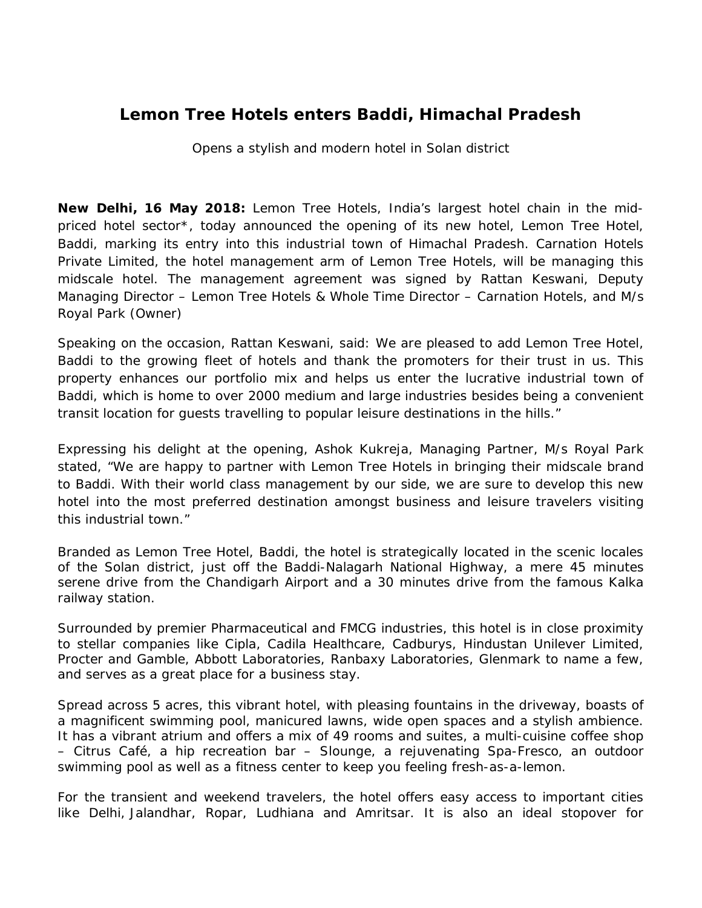## **Lemon Tree Hotels enters Baddi, Himachal Pradesh**

*Opens a stylish and modern hotel in Solan district*

**New Delhi, 16 May 2018:** Lemon Tree Hotels, India's largest hotel chain in the midpriced hotel sector\*, today announced the opening of its new hotel, Lemon Tree Hotel, Baddi, marking its entry into this industrial town of Himachal Pradesh. Carnation Hotels Private Limited, the hotel management arm of Lemon Tree Hotels, will be managing this midscale hotel. The management agreement was signed by Rattan Keswani, Deputy Managing Director – Lemon Tree Hotels & Whole Time Director – Carnation Hotels, and M/s Royal Park (Owner)

Speaking on the occasion, Rattan Keswani, said: *We are pleased to add Lemon Tree Hotel, Baddi to the growing fleet of hotels and thank the promoters for their trust in us. This property enhances our portfolio mix and helps us enter the lucrative industrial town of Baddi, which is home to over 2000 medium and large industries besides being a convenient transit location for guests travelling to popular leisure destinations in the hills."*

Expressing his delight at the opening, Ashok Kukreja, Managing Partner, M/s Royal Park stated, "*We are happy to partner with Lemon Tree Hotels in bringing their midscale brand to Baddi. With their world class management by our side, we are sure to develop this new hotel into the most preferred destination amongst business and leisure travelers visiting this industrial town."*

Branded as Lemon Tree Hotel, Baddi, the hotel is strategically located in the scenic locales of the Solan district, just off the Baddi-Nalagarh National Highway, a mere 45 minutes serene drive from the Chandigarh Airport and a 30 minutes drive from the famous Kalka railway station.

Surrounded by premier Pharmaceutical and FMCG industries, this hotel is in close proximity to stellar companies like Cipla, Cadila Healthcare, Cadburys, Hindustan Unilever Limited, Procter and Gamble, Abbott Laboratories, Ranbaxy Laboratories, Glenmark to name a few, and serves as a great place for a business stay.

Spread across 5 acres, this vibrant hotel, with pleasing fountains in the driveway, boasts of a magnificent swimming pool, manicured lawns, wide open spaces and a stylish ambience. It has a vibrant atrium and offers a mix of 49 rooms and suites, a multi-cuisine coffee shop – Citrus Café, a hip recreation bar – Slounge, a rejuvenating Spa-Fresco, an outdoor swimming pool as well as a fitness center to keep you feeling fresh-as-a-lemon.

For the transient and weekend travelers, the hotel offers easy access to important cities like Delhi, Jalandhar, Ropar, Ludhiana and Amritsar. It is also an ideal stopover for